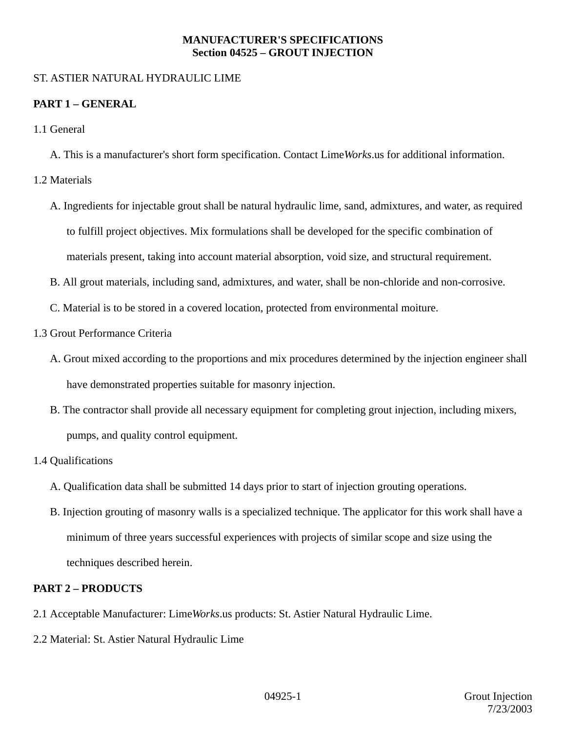## **MANUFACTURER'S SPECIFICATIONS Section 04525 – GROUT INJECTION**

## ST. ASTIER NATURAL HYDRAULIC LIME

# **PART 1 – GENERAL**

- 1.1 General
	- A. This is a manufacturer's short form specification. Contact Lime*Works*.us for additional information.
- 1.2 Materials
	- A. Ingredients for injectable grout shall be natural hydraulic lime, sand, admixtures, and water, as required to fulfill project objectives. Mix formulations shall be developed for the specific combination of materials present, taking into account material absorption, void size, and structural requirement.
	- B. All grout materials, including sand, admixtures, and water, shall be non-chloride and non-corrosive.
	- C. Material is to be stored in a covered location, protected from environmental moiture.
- 1.3 Grout Performance Criteria
	- A. Grout mixed according to the proportions and mix procedures determined by the injection engineer shall have demonstrated properties suitable for masonry injection.
	- B. The contractor shall provide all necessary equipment for completing grout injection, including mixers, pumps, and quality control equipment.
- 1.4 Qualifications
	- A. Qualification data shall be submitted 14 days prior to start of injection grouting operations.
	- B. Injection grouting of masonry walls is a specialized technique. The applicator for this work shall have a minimum of three years successful experiences with projects of similar scope and size using the techniques described herein.

# **PART 2 – PRODUCTS**

- 2.1 Acceptable Manufacturer: Lime*Works*.us products: St. Astier Natural Hydraulic Lime.
- 2.2 Material: St. Astier Natural Hydraulic Lime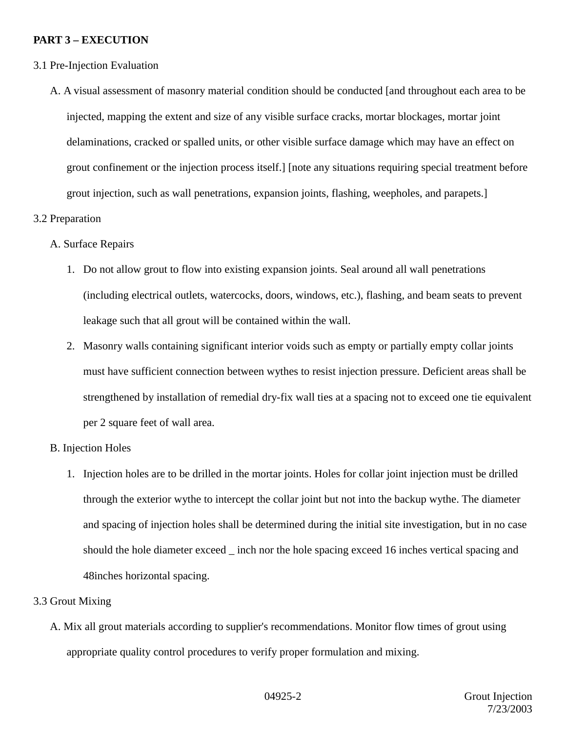## **PART 3 – EXECUTION**

- 3.1 Pre-Injection Evaluation
	- A. A visual assessment of masonry material condition should be conducted [and throughout each area to be injected, mapping the extent and size of any visible surface cracks, mortar blockages, mortar joint delaminations, cracked or spalled units, or other visible surface damage which may have an effect on grout confinement or the injection process itself.] [note any situations requiring special treatment before grout injection, such as wall penetrations, expansion joints, flashing, weepholes, and parapets.]

## 3.2 Preparation

- A. Surface Repairs
	- 1. Do not allow grout to flow into existing expansion joints. Seal around all wall penetrations (including electrical outlets, watercocks, doors, windows, etc.), flashing, and beam seats to prevent leakage such that all grout will be contained within the wall.
	- 2. Masonry walls containing significant interior voids such as empty or partially empty collar joints must have sufficient connection between wythes to resist injection pressure. Deficient areas shall be strengthened by installation of remedial dry-fix wall ties at a spacing not to exceed one tie equivalent per 2 square feet of wall area.

#### B. Injection Holes

1. Injection holes are to be drilled in the mortar joints. Holes for collar joint injection must be drilled through the exterior wythe to intercept the collar joint but not into the backup wythe. The diameter and spacing of injection holes shall be determined during the initial site investigation, but in no case should the hole diameter exceed inch nor the hole spacing exceed 16 inches vertical spacing and 48inches horizontal spacing.

#### 3.3 Grout Mixing

A. Mix all grout materials according to supplier's recommendations. Monitor flow times of grout using appropriate quality control procedures to verify proper formulation and mixing.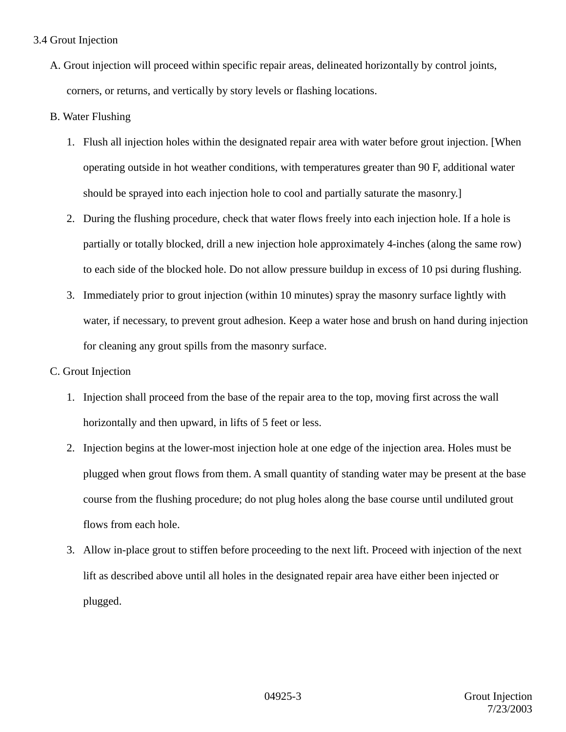## 3.4 Grout Injection

A. Grout injection will proceed within specific repair areas, delineated horizontally by control joints, corners, or returns, and vertically by story levels or flashing locations.

## B. Water Flushing

- 1. Flush all injection holes within the designated repair area with water before grout injection. [When operating outside in hot weather conditions, with temperatures greater than 90 F, additional water should be sprayed into each injection hole to cool and partially saturate the masonry.]
- 2. During the flushing procedure, check that water flows freely into each injection hole. If a hole is partially or totally blocked, drill a new injection hole approximately 4-inches (along the same row) to each side of the blocked hole. Do not allow pressure buildup in excess of 10 psi during flushing.
- 3. Immediately prior to grout injection (within 10 minutes) spray the masonry surface lightly with water, if necessary, to prevent grout adhesion. Keep a water hose and brush on hand during injection for cleaning any grout spills from the masonry surface.
- C. Grout Injection
	- 1. Injection shall proceed from the base of the repair area to the top, moving first across the wall horizontally and then upward, in lifts of 5 feet or less.
	- 2. Injection begins at the lower-most injection hole at one edge of the injection area. Holes must be plugged when grout flows from them. A small quantity of standing water may be present at the base course from the flushing procedure; do not plug holes along the base course until undiluted grout flows from each hole.
	- 3. Allow in-place grout to stiffen before proceeding to the next lift. Proceed with injection of the next lift as described above until all holes in the designated repair area have either been injected or plugged.